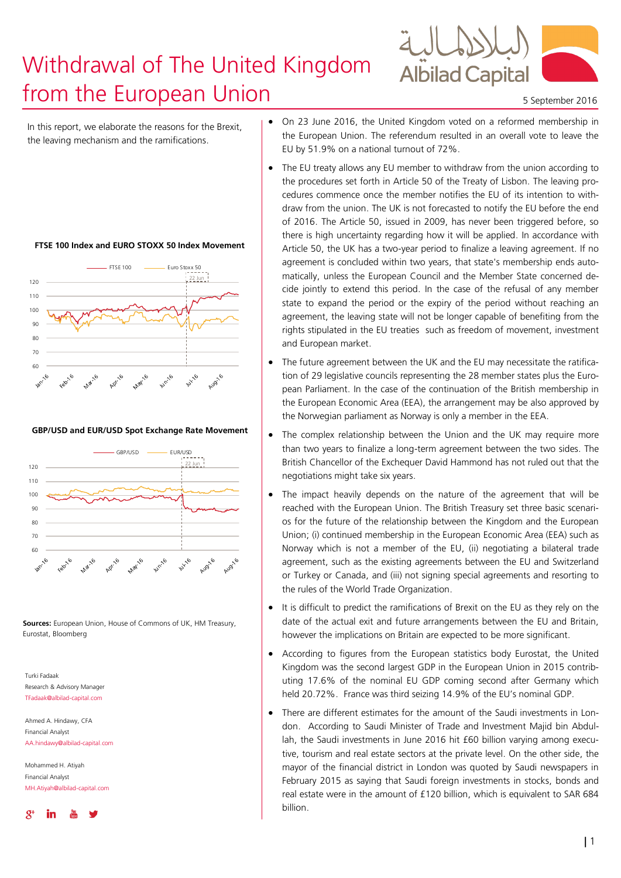# Withdrawal of The United Kingdom **From the European Union** 5 September 2016



In this report, we elaborate the reasons for the Brexit, the leaving mechanism and the ramifications.

#### **FTSE 100 Index and EURO STOXX 50 Index Movement**



#### **GBP/USD and EUR/USD Spot Exchange Rate Movement**



**Sources:** European Union, House of Commons of UK, HM Treasury, Eurostat, Bloomberg

Turki Fadaak Research & Advisory Manage TFadaak@albilad-capital.com

Ahmed A. Hindawy, CFA Financial Analyst AA.hindawy@albilad-capital.com

Mohammed H. Atiyah Financial Analyst MH.Atiyah@albilad-capital.com



- On 23 June 2016, the United Kingdom voted on a reformed membership in the European Union. The referendum resulted in an overall vote to leave the EU by 51.9% on a national turnout of 72%.
- The EU treaty allows any EU member to withdraw from the union according to the procedures set forth in Article 50 of the Treaty of Lisbon. The leaving procedures commence once the member notifies the EU of its intention to withdraw from the union. The UK is not forecasted to notify the EU before the end of 2016. The Article 50, issued in 2009, has never been triggered before, so there is high uncertainty regarding how it will be applied. In accordance with Article 50, the UK has a two-year period to finalize a leaving agreement. If no agreement is concluded within two years, that state's membership ends automatically, unless the European Council and the Member State concerned decide jointly to extend this period. In the case of the refusal of any member state to expand the period or the expiry of the period without reaching an agreement, the leaving state will not be longer capable of benefiting from the rights stipulated in the EU treaties such as freedom of movement, investment and European market.
- The future agreement between the UK and the EU may necessitate the ratification of 29 legislative councils representing the 28 member states plus the European Parliament. In the case of the continuation of the British membership in the European Economic Area (EEA), the arrangement may be also approved by the Norwegian parliament as Norway is only a member in the EEA.
- The complex relationship between the Union and the UK may require more than two years to finalize a long-term agreement between the two sides. The British Chancellor of the Exchequer David Hammond has not ruled out that the negotiations might take six years.
- The impact heavily depends on the nature of the agreement that will be reached with the European Union. The British Treasury set three basic scenarios for the future of the relationship between the Kingdom and the European Union; (i) continued membership in the European Economic Area (EEA) such as Norway which is not a member of the EU, (ii) negotiating a bilateral trade agreement, such as the existing agreements between the EU and Switzerland or Turkey or Canada, and (iii) not signing special agreements and resorting to the rules of the World Trade Organization.
- It is difficult to predict the ramifications of Brexit on the EU as they rely on the date of the actual exit and future arrangements between the EU and Britain, however the implications on Britain are expected to be more significant.
- According to figures from the European statistics body Eurostat, the United Kingdom was the second largest GDP in the European Union in 2015 contributing 17.6% of the nominal EU GDP coming second after Germany which held 20.72%. France was third seizing 14.9% of the EU's nominal GDP.
- There are different estimates for the amount of the Saudi investments in London. According to Saudi Minister of Trade and Investment Majid bin Abdullah, the Saudi investments in June 2016 hit £60 billion varying among executive, tourism and real estate sectors at the private level. On the other side, the mayor of the financial district in London was quoted by Saudi newspapers in February 2015 as saying that Saudi foreign investments in stocks, bonds and real estate were in the amount of £120 billion, which is equivalent to SAR 684 billion.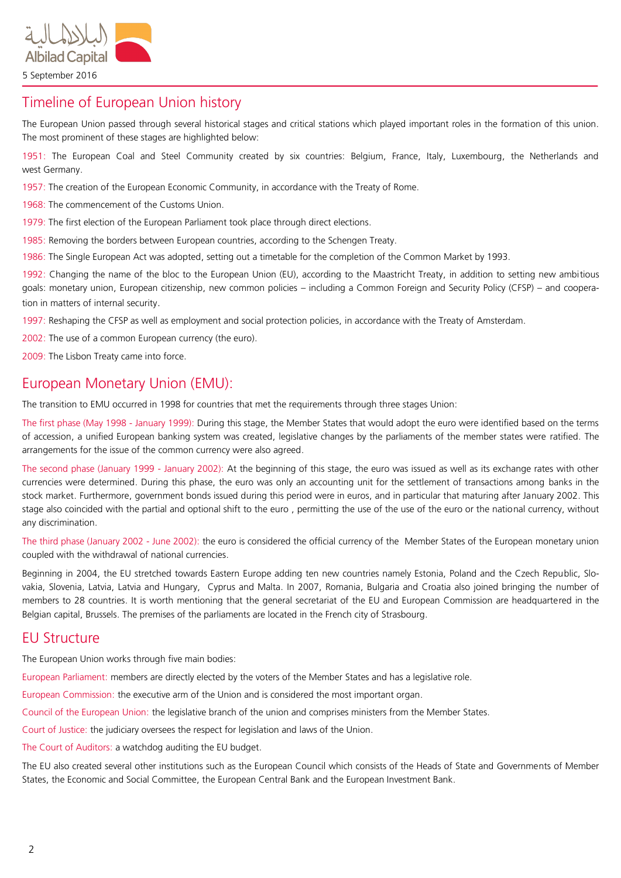

# Timeline of European Union history

The European Union passed through several historical stages and critical stations which played important roles in the formation of this union. The most prominent of these stages are highlighted below:

1951: The European Coal and Steel Community created by six countries: Belgium, France, Italy, Luxembourg, the Netherlands and west Germany.

1957: The creation of the European Economic Community, in accordance with the Treaty of Rome.

1968: The commencement of the Customs Union.

1979: The first election of the European Parliament took place through direct elections.

1985: Removing the borders between European countries, according to the Schengen Treaty.

1986: The Single European Act was adopted, setting out a timetable for the completion of the Common Market by 1993.

1992: Changing the name of the bloc to the European Union (EU), according to the Maastricht Treaty, in addition to setting new ambitious goals: monetary union, European citizenship, new common policies – including a Common Foreign and Security Policy (CFSP) – and cooperation in matters of internal security.

1997: Reshaping the CFSP as well as employment and social protection policies, in accordance with the Treaty of Amsterdam.

2002: The use of a common European currency (the euro).

2009: The Lisbon Treaty came into force.

### European Monetary Union (EMU):

The transition to EMU occurred in 1998 for countries that met the requirements through three stages Union:

The first phase (May 1998 - January 1999): During this stage, the Member States that would adopt the euro were identified based on the terms of accession, a unified European banking system was created, legislative changes by the parliaments of the member states were ratified. The arrangements for the issue of the common currency were also agreed.

The second phase (January 1999 - January 2002): At the beginning of this stage, the euro was issued as well as its exchange rates with other currencies were determined. During this phase, the euro was only an accounting unit for the settlement of transactions among banks in the stock market. Furthermore, government bonds issued during this period were in euros, and in particular that maturing after January 2002. This stage also coincided with the partial and optional shift to the euro , permitting the use of the use of the euro or the national currency, without any discrimination.

The third phase (January 2002 - June 2002): the euro is considered the official currency of the Member States of the European monetary union coupled with the withdrawal of national currencies.

Beginning in 2004, the EU stretched towards Eastern Europe adding ten new countries namely Estonia, Poland and the Czech Republic, Slovakia, Slovenia, Latvia, Latvia and Hungary, Cyprus and Malta. In 2007, Romania, Bulgaria and Croatia also joined bringing the number of members to 28 countries. It is worth mentioning that the general secretariat of the EU and European Commission are headquartered in the Belgian capital, Brussels. The premises of the parliaments are located in the French city of Strasbourg.

### EU Structure

The European Union works through five main bodies:

European Parliament: members are directly elected by the voters of the Member States and has a legislative role.

European Commission: the executive arm of the Union and is considered the most important organ.

Council of the European Union: the legislative branch of the union and comprises ministers from the Member States.

Court of Justice: the judiciary oversees the respect for legislation and laws of the Union.

The Court of Auditors: a watchdog auditing the EU budget.

The EU also created several other institutions such as the European Council which consists of the Heads of State and Governments of Member States, the Economic and Social Committee, the European Central Bank and the European Investment Bank.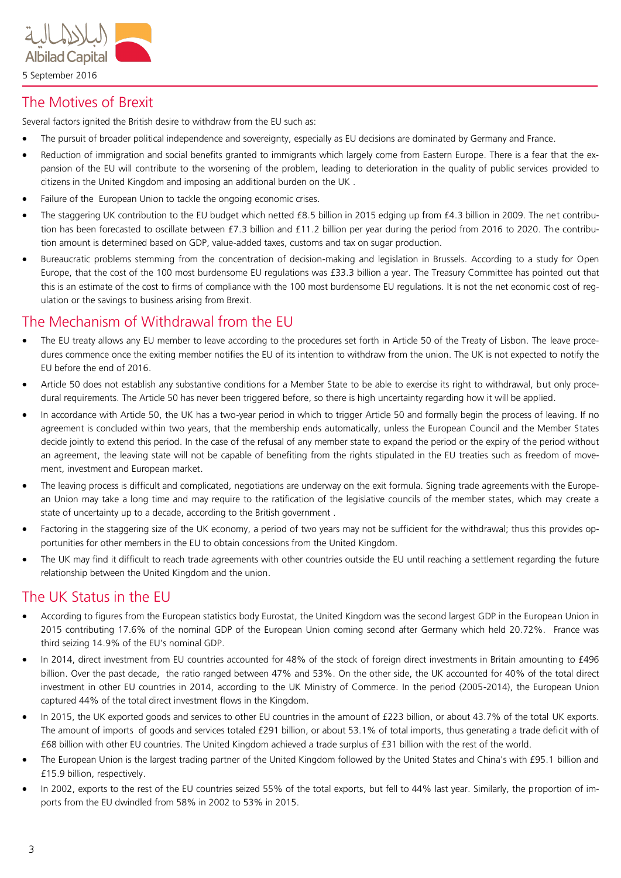

## The Motives of Brexit

Several factors ignited the British desire to withdraw from the EU such as:

- The pursuit of broader political independence and sovereignty, especially as EU decisions are dominated by Germany and France.
- Reduction of immigration and social benefits granted to immigrants which largely come from Eastern Europe. There is a fear that the expansion of the EU will contribute to the worsening of the problem, leading to deterioration in the quality of public services provided to citizens in the United Kingdom and imposing an additional burden on the UK .
- Failure of the European Union to tackle the ongoing economic crises.
- The staggering UK contribution to the EU budget which netted £8.5 billion in 2015 edging up from £4.3 billion in 2009. The net contribution has been forecasted to oscillate between £7.3 billion and £11.2 billion per year during the period from 2016 to 2020. The contribution amount is determined based on GDP, value-added taxes, customs and tax on sugar production.
- Bureaucratic problems stemming from the concentration of decision-making and legislation in Brussels. According to a study for Open Europe, that the cost of the 100 most burdensome EU regulations was £33.3 billion a year. The Treasury Committee has pointed out that this is an estimate of the cost to firms of compliance with the 100 most burdensome EU regulations. It is not the net economic cost of regulation or the savings to business arising from Brexit.

# The Mechanism of Withdrawal from the EU

- The EU treaty allows any EU member to leave according to the procedures set forth in Article 50 of the Treaty of Lisbon. The leave procedures commence once the exiting member notifies the EU of its intention to withdraw from the union. The UK is not expected to notify the EU before the end of 2016.
- Article 50 does not establish any substantive conditions for a Member State to be able to exercise its right to withdrawal, but only procedural requirements. The Article 50 has never been triggered before, so there is high uncertainty regarding how it will be applied.
- In accordance with Article 50, the UK has a two-year period in which to trigger Article 50 and formally begin the process of leaving. If no agreement is concluded within two years, that the membership ends automatically, unless the European Council and the Member States decide jointly to extend this period. In the case of the refusal of any member state to expand the period or the expiry of the period without an agreement, the leaving state will not be capable of benefiting from the rights stipulated in the EU treaties such as freedom of movement, investment and European market.
- The leaving process is difficult and complicated, negotiations are underway on the exit formula. Signing trade agreements with the European Union may take a long time and may require to the ratification of the legislative councils of the member states, which may create a state of uncertainty up to a decade, according to the British government .
- Factoring in the staggering size of the UK economy, a period of two years may not be sufficient for the withdrawal; thus this provides opportunities for other members in the EU to obtain concessions from the United Kingdom.
- The UK may find it difficult to reach trade agreements with other countries outside the EU until reaching a settlement regarding the future relationship between the United Kingdom and the union.

# The UK Status in the EU

- According to figures from the European statistics body Eurostat, the United Kingdom was the second largest GDP in the European Union in 2015 contributing 17.6% of the nominal GDP of the European Union coming second after Germany which held 20.72%. France was third seizing 14.9% of the EU's nominal GDP.
- In 2014, direct investment from EU countries accounted for 48% of the stock of foreign direct investments in Britain amounting to £496 billion. Over the past decade, the ratio ranged between 47% and 53%. On the other side, the UK accounted for 40% of the total direct investment in other EU countries in 2014, according to the UK Ministry of Commerce. In the period (2005-2014), the European Union captured 44% of the total direct investment flows in the Kingdom.
- In 2015, the UK exported goods and services to other EU countries in the amount of £223 billion, or about 43.7% of the total UK exports. The amount of imports of goods and services totaled £291 billion, or about 53.1% of total imports, thus generating a trade deficit with of £68 billion with other EU countries. The United Kingdom achieved a trade surplus of £31 billion with the rest of the world.
- The European Union is the largest trading partner of the United Kingdom followed by the United States and China's with £95.1 billion and £15.9 billion, respectively.
- In 2002, exports to the rest of the EU countries seized 55% of the total exports, but fell to 44% last year. Similarly, the proportion of imports from the EU dwindled from 58% in 2002 to 53% in 2015.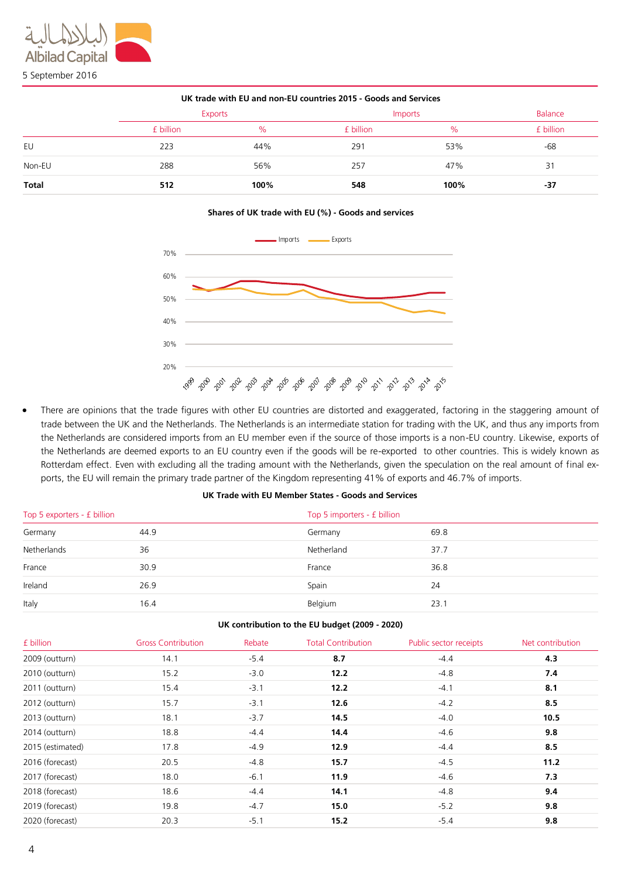| UK trade with EU and non-EU countries 2015 - Goods and Services |                |      |                |      |                |
|-----------------------------------------------------------------|----------------|------|----------------|------|----------------|
|                                                                 | <b>Exports</b> |      | <b>Imports</b> |      | <b>Balance</b> |
|                                                                 | £ billion      | $\%$ | £ billion      | $\%$ | £ billion      |
| EU                                                              | 223            | 44%  | 291            | 53%  | -68            |
| Non-EU                                                          | 288            | 56%  | 257            | 47%  | 31             |
| <b>Total</b>                                                    | 512            | 100% | 548            | 100% | -37            |

**Shares of UK trade with EU (%) - Goods and services**



 There are opinions that the trade figures with other EU countries are distorted and exaggerated, factoring in the staggering amount of trade between the UK and the Netherlands. The Netherlands is an intermediate station for trading with the UK, and thus any imports from the Netherlands are considered imports from an EU member even if the source of those imports is a non-EU country. Likewise, exports of the Netherlands are deemed exports to an EU country even if the goods will be re-exported to other countries. This is widely known as Rotterdam effect. Even with excluding all the trading amount with the Netherlands, given the speculation on the real amount of final exports, the EU will remain the primary trade partner of the Kingdom representing 41% of exports and 46.7% of imports.

### **UK Trade with EU Member States - Goods and Services**

| Top 5 exporters - £ billion |      | Top 5 importers - £ billion |      |  |
|-----------------------------|------|-----------------------------|------|--|
| Germany                     | 44.9 | Germany                     | 69.8 |  |
| Netherlands                 | 36   | Netherland                  | 37.7 |  |
| France                      | 30.9 | France                      | 36.8 |  |
| Ireland                     | 26.9 | Spain                       | 24   |  |
| Italy                       | 16.4 | Belgium                     | 23.1 |  |

### **UK contribution to the EU budget (2009 - 2020)**

| £ billion        | <b>Gross Contribution</b> | Rebate | <b>Total Contribution</b> | Public sector receipts | Net contribution |
|------------------|---------------------------|--------|---------------------------|------------------------|------------------|
| 2009 (outturn)   | 14.1                      | $-5.4$ | 8.7                       | $-4.4$                 | 4.3              |
| 2010 (outturn)   | 15.2                      | $-3.0$ | 12.2                      | $-4.8$                 | 7.4              |
| 2011 (outturn)   | 15.4                      | $-3.1$ | 12.2                      | $-4.1$                 | 8.1              |
| 2012 (outturn)   | 15.7                      | $-3.1$ | 12.6                      | $-4.2$                 | 8.5              |
| 2013 (outturn)   | 18.1                      | $-3.7$ | 14.5                      | $-4.0$                 | 10.5             |
| 2014 (outturn)   | 18.8                      | $-4.4$ | 14.4                      | $-4.6$                 | 9.8              |
| 2015 (estimated) | 17.8                      | $-4.9$ | 12.9                      | $-4.4$                 | 8.5              |
| 2016 (forecast)  | 20.5                      | $-4.8$ | 15.7                      | $-4.5$                 | 11.2             |
| 2017 (forecast)  | 18.0                      | $-6.1$ | 11.9                      | $-4.6$                 | 7.3              |
| 2018 (forecast)  | 18.6                      | $-4.4$ | 14.1                      | $-4.8$                 | 9.4              |
| 2019 (forecast)  | 19.8                      | $-4.7$ | 15.0                      | $-5.2$                 | 9.8              |
| 2020 (forecast)  | 20.3                      | $-5.1$ | 15.2                      | $-5.4$                 | 9.8              |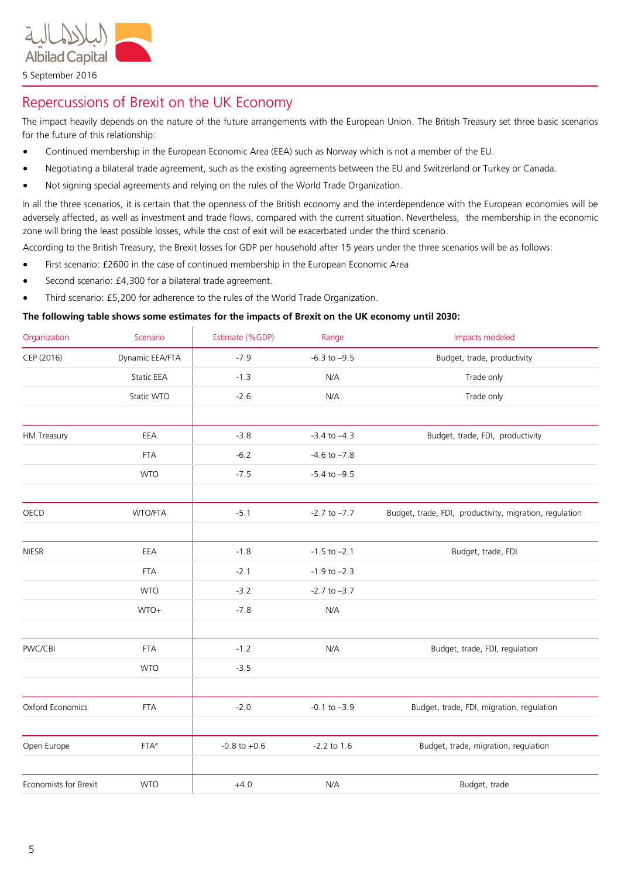

Repercussions of Brexit on the UK Economy

The impact heavily depends on the nature of the future arrangements with the European Union. The British Treasury set three basic scenarios for the future of this relationship:

- Continued membership in the European Economic Area (EEA) such as Norway which is not a member of the EU.
- Negotiating a bilateral trade agreement, such as the existing agreements between the EU and Switzerland or Turkey or Canada.
- Not signing special agreements and relying on the rules of the World Trade Organization.

In all the three scenarios, it is certain that the openness of the British economy and the interdependence with the European economies will be adversely affected, as well as investment and trade flows, compared with the current situation. Nevertheless, the membership in the economic zone will bring the least possible losses, while the cost of exit will be exacerbated under the third scenario.

According to the British Treasury, the Brexit losses for GDP per household after 15 years under the three scenarios will be as follows:

- First scenario: £2600 in the case of continued membership in the European Economic Area
- Second scenario: £4,300 for a bilateral trade agreement.
- Third scenario: £5,200 for adherence to the rules of the World Trade Organization.

### **The following table shows some estimates for the impacts of Brexit on the UK economy until 2030:**

| Organization          | Scenario          | Estimate (%GDP)  | Range            | Impacts modeled                                         |
|-----------------------|-------------------|------------------|------------------|---------------------------------------------------------|
| CEP (2016)            | Dynamic EEA/FTA   | $-7.9$           | $-6.3$ to $-9.5$ | Budget, trade, productivity                             |
|                       | <b>Static EEA</b> | $-1.3$           | N/A              | Trade only                                              |
|                       | Static WTO        | $-2.6$           | N/A              | Trade only                                              |
|                       |                   |                  |                  |                                                         |
| <b>HM Treasury</b>    | EEA               | $-3.8$           | $-3.4$ to $-4.3$ | Budget, trade, FDI, productivity                        |
|                       | <b>FTA</b>        | $-6.2$           | $-4.6$ to $-7.8$ |                                                         |
|                       | <b>WTO</b>        | $-7.5$           | $-5.4$ to $-9.5$ |                                                         |
|                       |                   |                  |                  |                                                         |
| OECD                  | WTO/FTA           | $-5.1$           | $-2.7$ to $-7.7$ | Budget, trade, FDI, productivity, migration, regulation |
|                       |                   |                  |                  |                                                         |
| <b>NIESR</b>          | EEA               | $-1.8$           | $-1.5$ to $-2.1$ | Budget, trade, FDI                                      |
|                       | <b>FTA</b>        | $-2.1$           | $-1.9$ to $-2.3$ |                                                         |
|                       | <b>WTO</b>        | $-3.2$           | $-2.7$ to $-3.7$ |                                                         |
|                       | WTO+              | $-7.8$           | N/A              |                                                         |
|                       |                   |                  |                  |                                                         |
| PWC/CBI               | <b>FTA</b>        | $-1.2$           | N/A              | Budget, trade, FDI, regulation                          |
|                       | <b>WTO</b>        | $-3.5$           |                  |                                                         |
|                       |                   |                  |                  |                                                         |
| Oxford Economics      | <b>FTA</b>        | $-2.0$           | $-0.1$ to $-3.9$ | Budget, trade, FDI, migration, regulation               |
|                       |                   |                  |                  |                                                         |
| Open Europe           | $FTA^a$           | $-0.8$ to $+0.6$ | $-2.2$ to $1.6$  | Budget, trade, migration, regulation                    |
|                       |                   |                  |                  |                                                         |
| Economists for Brexit | <b>WTO</b>        | $+4.0$           | N/A              | Budget, trade                                           |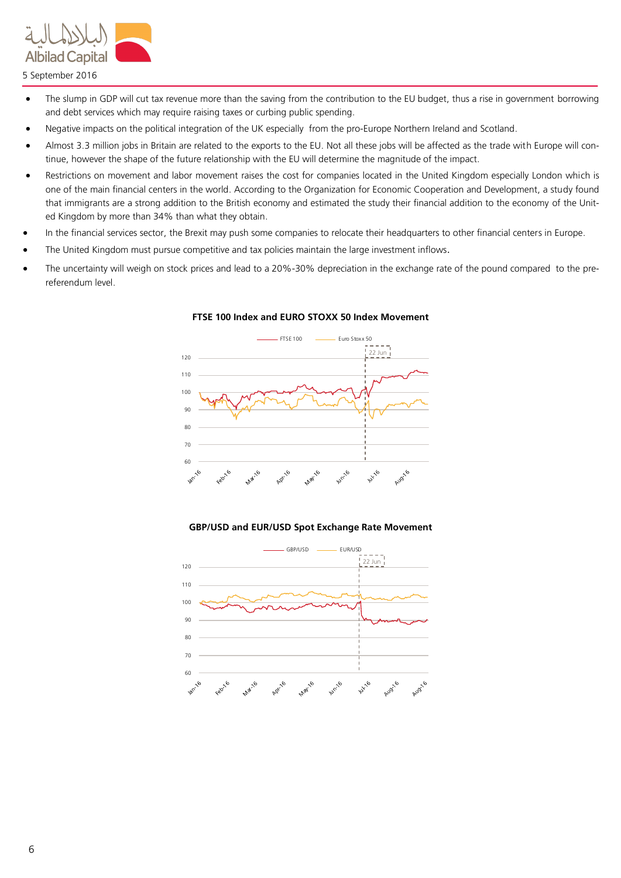

5 September 2016

- The slump in GDP will cut tax revenue more than the saving from the contribution to the EU budget, thus a rise in government borrowing and debt services which may require raising taxes or curbing public spending.
- Negative impacts on the political integration of the UK especially from the pro-Europe Northern Ireland and Scotland.
- Almost 3.3 million jobs in Britain are related to the exports to the EU. Not all these jobs will be affected as the trade with Europe will continue, however the shape of the future relationship with the EU will determine the magnitude of the impact.
- Restrictions on movement and labor movement raises the cost for companies located in the United Kingdom especially London which is one of the main financial centers in the world. According to the Organization for Economic Cooperation and Development, a study found that immigrants are a strong addition to the British economy and estimated the study their financial addition to the economy of the United Kingdom by more than 34% than what they obtain.
- In the financial services sector, the Brexit may push some companies to relocate their headquarters to other financial centers in Europe.
- The United Kingdom must pursue competitive and tax policies maintain the large investment inflows.
- The uncertainty will weigh on stock prices and lead to a 20%-30% depreciation in the exchange rate of the pound compared to the prereferendum level.



### **FTSE 100 Index and EURO STOXX 50 Index Movement**

### **GBP/USD and EUR/USD Spot Exchange Rate Movement**

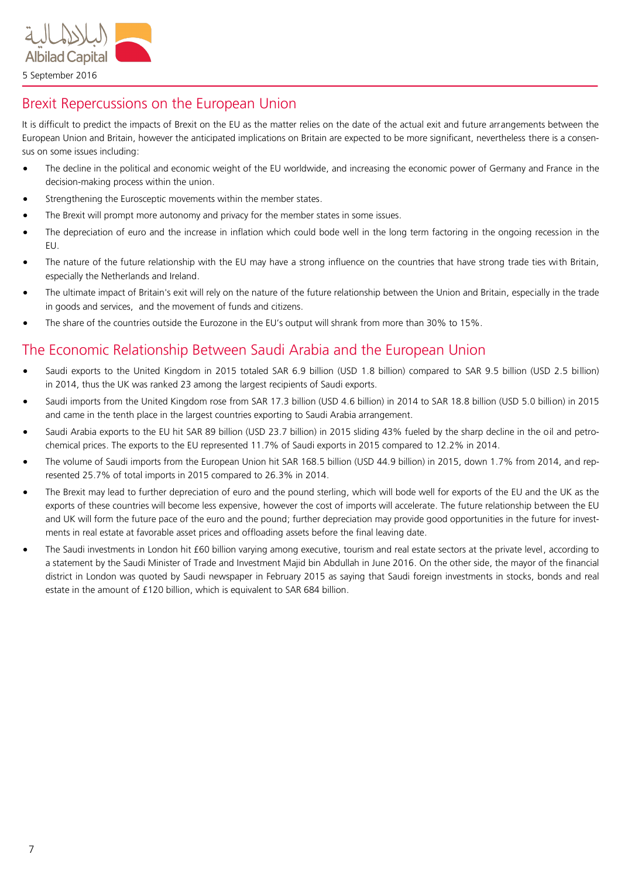

# Brexit Repercussions on the European Union

It is difficult to predict the impacts of Brexit on the EU as the matter relies on the date of the actual exit and future arrangements between the European Union and Britain, however the anticipated implications on Britain are expected to be more significant, nevertheless there is a consensus on some issues including:

- The decline in the political and economic weight of the EU worldwide, and increasing the economic power of Germany and France in the decision-making process within the union.
- Strengthening the Eurosceptic movements within the member states.
- The Brexit will prompt more autonomy and privacy for the member states in some issues.
- The depreciation of euro and the increase in inflation which could bode well in the long term factoring in the ongoing recession in the EU.
- The nature of the future relationship with the EU may have a strong influence on the countries that have strong trade ties with Britain, especially the Netherlands and Ireland.
- The ultimate impact of Britain's exit will rely on the nature of the future relationship between the Union and Britain, especially in the trade in goods and services, and the movement of funds and citizens.
- The share of the countries outside the Eurozone in the EU's output will shrank from more than 30% to 15%.

# The Economic Relationship Between Saudi Arabia and the European Union

- Saudi exports to the United Kingdom in 2015 totaled SAR 6.9 billion (USD 1.8 billion) compared to SAR 9.5 billion (USD 2.5 billion) in 2014, thus the UK was ranked 23 among the largest recipients of Saudi exports.
- Saudi imports from the United Kingdom rose from SAR 17.3 billion (USD 4.6 billion) in 2014 to SAR 18.8 billion (USD 5.0 billion) in 2015 and came in the tenth place in the largest countries exporting to Saudi Arabia arrangement.
- Saudi Arabia exports to the EU hit SAR 89 billion (USD 23.7 billion) in 2015 sliding 43% fueled by the sharp decline in the oil and petrochemical prices. The exports to the EU represented 11.7% of Saudi exports in 2015 compared to 12.2% in 2014.
- The volume of Saudi imports from the European Union hit SAR 168.5 billion (USD 44.9 billion) in 2015, down 1.7% from 2014, and represented 25.7% of total imports in 2015 compared to 26.3% in 2014.
- The Brexit may lead to further depreciation of euro and the pound sterling, which will bode well for exports of the EU and the UK as the exports of these countries will become less expensive, however the cost of imports will accelerate. The future relationship between the EU and UK will form the future pace of the euro and the pound; further depreciation may provide good opportunities in the future for investments in real estate at favorable asset prices and offloading assets before the final leaving date.
- The Saudi investments in London hit £60 billion varying among executive, tourism and real estate sectors at the private level, according to a statement by the Saudi Minister of Trade and Investment Majid bin Abdullah in June 2016. On the other side, the mayor of the financial district in London was quoted by Saudi newspaper in February 2015 as saying that Saudi foreign investments in stocks, bonds and real estate in the amount of £120 billion, which is equivalent to SAR 684 billion.